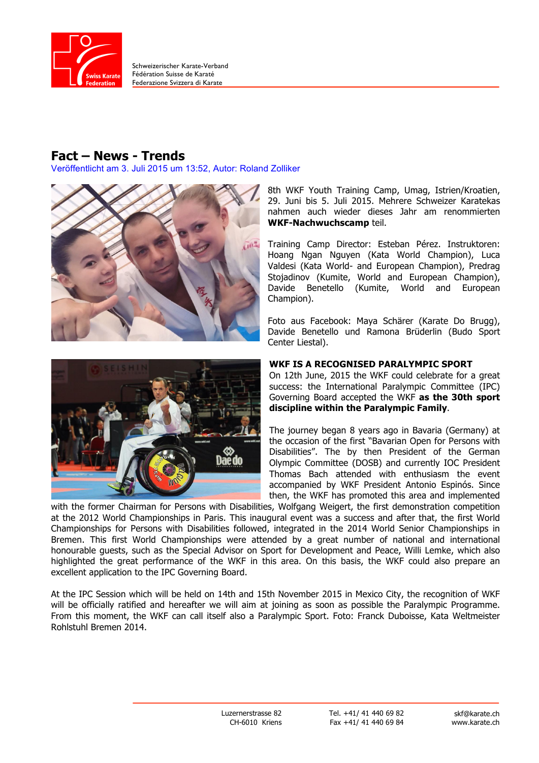

Schweizerischer Karate-Verband Fédération Suisse de Karaté Federazione Svizzera di Karate

## **Fact – News - Trends**

Veröffentlicht am 3. Juli 2015 um 13:52, Autor: Roland Zolliker





8th WKF Youth Training Camp, Umag, Istrien/Kroatien, 29. Juni bis 5. Juli 2015. Mehrere Schweizer Karatekas nahmen auch wieder dieses Jahr am renommierten **WKF-Nachwuchscamp** teil.

Training Camp Director: Esteban Pérez. Instruktoren: Hoang Ngan Nguyen (Kata World Champion), Luca Valdesi (Kata World- and European Champion), Predrag Stojadinov (Kumite, World and European Champion), Davide Benetello (Kumite, World and European Champion).

Foto aus Facebook: Maya Schärer (Karate Do Brugg), Davide Benetello und Ramona Brüderlin (Budo Sport Center Liestal).

## **WKF IS A RECOGNISED PARALYMPIC SPORT**

On 12th June, 2015 the WKF could celebrate for a great success: the International Paralympic Committee (IPC) Governing Board accepted the WKF **as the 30th sport discipline within the Paralympic Family**.

The journey began 8 years ago in Bavaria (Germany) at the occasion of the first "Bavarian Open for Persons with Disabilities". The by then President of the German Olympic Committee (DOSB) and currently IOC President Thomas Bach attended with enthusiasm the event accompanied by WKF President Antonio Espinós. Since then, the WKF has promoted this area and implemented

with the former Chairman for Persons with Disabilities, Wolfgang Weigert, the first demonstration competition at the 2012 World Championships in Paris. This inaugural event was a success and after that, the first World Championships for Persons with Disabilities followed, integrated in the 2014 World Senior Championships in Bremen. This first World Championships were attended by a great number of national and international honourable guests, such as the Special Advisor on Sport for Development and Peace, Willi Lemke, which also highlighted the great performance of the WKF in this area. On this basis, the WKF could also prepare an excellent application to the IPC Governing Board.

At the IPC Session which will be held on 14th and 15th November 2015 in Mexico City, the recognition of WKF will be officially ratified and hereafter we will aim at joining as soon as possible the Paralympic Programme. From this moment, the WKF can call itself also a Paralympic Sport. Foto: Franck Duboisse, Kata Weltmeister Rohlstuhl Bremen 2014.